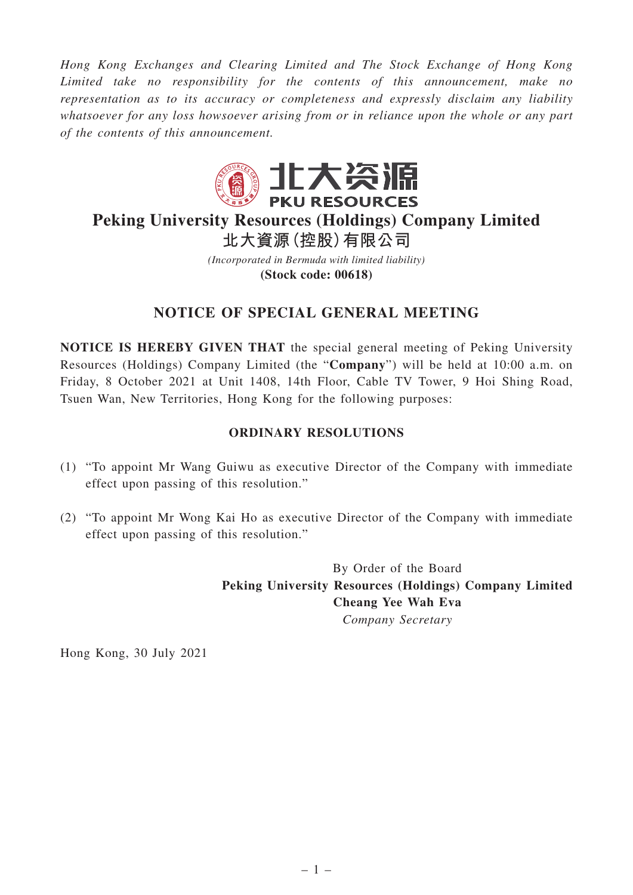*Hong Kong Exchanges and Clearing Limited and The Stock Exchange of Hong Kong Limited take no responsibility for the contents of this announcement, make no representation as to its accuracy or completeness and expressly disclaim any liability whatsoever for any loss howsoever arising from or in reliance upon the whole or any part of the contents of this announcement.*



## **Peking University Resources (Holdings) Company Limited 北大資源(控股)有限公司**

*(Incorporated in Bermuda with limited liability)* **(Stock code: 00618)**

## **NOTICE OF SPECIAL GENERAL MEETING**

**NOTICE IS HEREBY GIVEN THAT** the special general meeting of Peking University Resources (Holdings) Company Limited (the "**Company**") will be held at 10:00 a.m. on Friday, 8 October 2021 at Unit 1408, 14th Floor, Cable TV Tower, 9 Hoi Shing Road, Tsuen Wan, New Territories, Hong Kong for the following purposes:

## **ORDINARY RESOLUTIONS**

- (1) "To appoint Mr Wang Guiwu as executive Director of the Company with immediate effect upon passing of this resolution."
- (2) "To appoint Mr Wong Kai Ho as executive Director of the Company with immediate effect upon passing of this resolution."

By Order of the Board **Peking University Resources (Holdings) Company Limited Cheang Yee Wah Eva** *Company Secretary*

Hong Kong, 30 July 2021